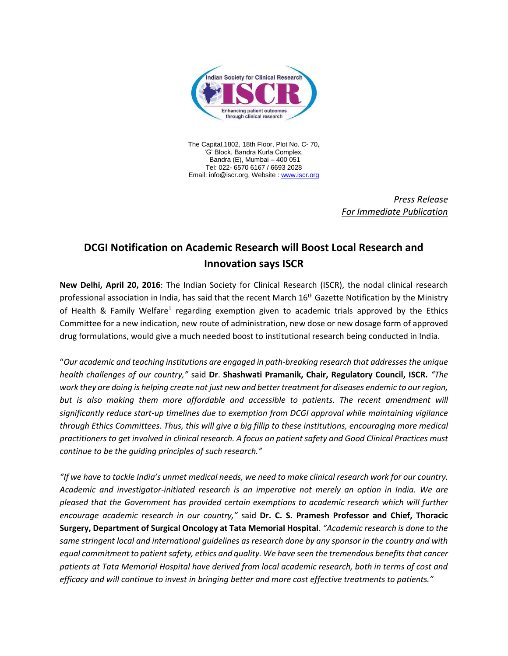

The Capital,1802, 18th Floor, Plot No. C- 70, 'G' Block, Bandra Kurla Complex, Bandra (E), Mumbai – 400 051 Tel: 022- 6570 6167 / 6693 2028 Email: info@iscr.org, Website : [www.iscr.org](http://www.iscr.org/)

> *Press Release For Immediate Publication*

## **DCGI Notification on Academic Research will Boost Local Research and Innovation says ISCR**

**New Delhi, April 20, 2016**: The Indian Society for Clinical Research (ISCR), the nodal clinical research professional association in India, has said that the recent March 16<sup>th</sup> Gazette Notification by the Ministry of Health & Family Welfare<sup>1</sup> regarding exemption given to academic trials approved by the Ethics Committee for a new indication, new route of administration, new dose or new dosage form of approved drug formulations, would give a much needed boost to institutional research being conducted in India.

"*Our academic and teaching institutions are engaged in path-breaking research that addresses the unique health challenges of our country,"* said **Dr**. **Shashwati Pramanik, Chair, Regulatory Council, ISCR.** *"The work they are doing is helping create not just new and better treatment for diseases endemic to our region,* but is also making them more affordable and accessible to patients. The recent amendment will *significantly reduce start-up timelines due to exemption from DCGI approval while maintaining vigilance through Ethics Committees. Thus, this will give a big fillip to these institutions, encouraging more medical practitioners to get involved in clinical research. A focus on patient safety and Good Clinical Practices must continue to be the guiding principles of such research."* 

*"If we have to tackle India's unmet medical needs, we need to make clinical research work for our country. Academic and investigator-initiated research is an imperative not merely an option in India. We are pleased that the Government has provided certain exemptions to academic research which will further encourage academic research in our country,"* said **Dr. C. S. Pramesh Professor and Chief, Thoracic Surgery, Department of Surgical Oncology at Tata Memorial Hospital**. *"Academic research is done to the same stringent local and international guidelines as research done by any sponsor in the country and with equal commitment to patient safety, ethics and quality. We have seen the tremendous benefits that cancer patients at Tata Memorial Hospital have derived from local academic research, both in terms of cost and efficacy and will continue to invest in bringing better and more cost effective treatments to patients."*